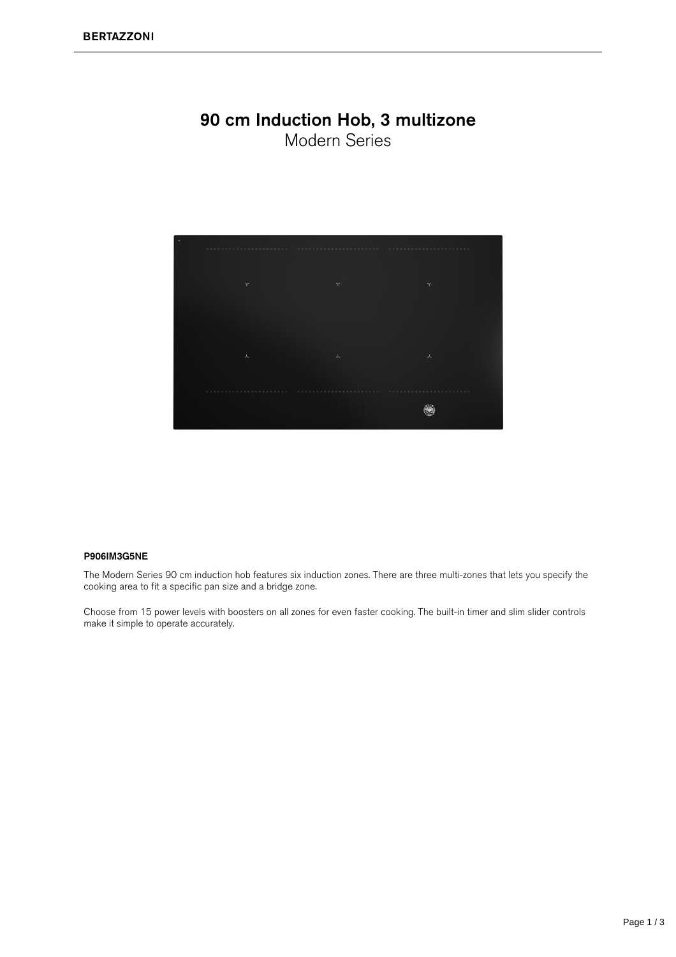#### 90 cm Induction Hob, 3 multizone Modern Series



#### P906IM3G5N

The Modern Series 90 cm induction hob features six induction zones. There are three multi-zones that lets you specify the cooking area to fit a specific pan size and a bridge zone.

Choose from 15 power levels with boosters on all zones for even faster cooking. The built-in timer and slim slider controls make it simple to operate accurately.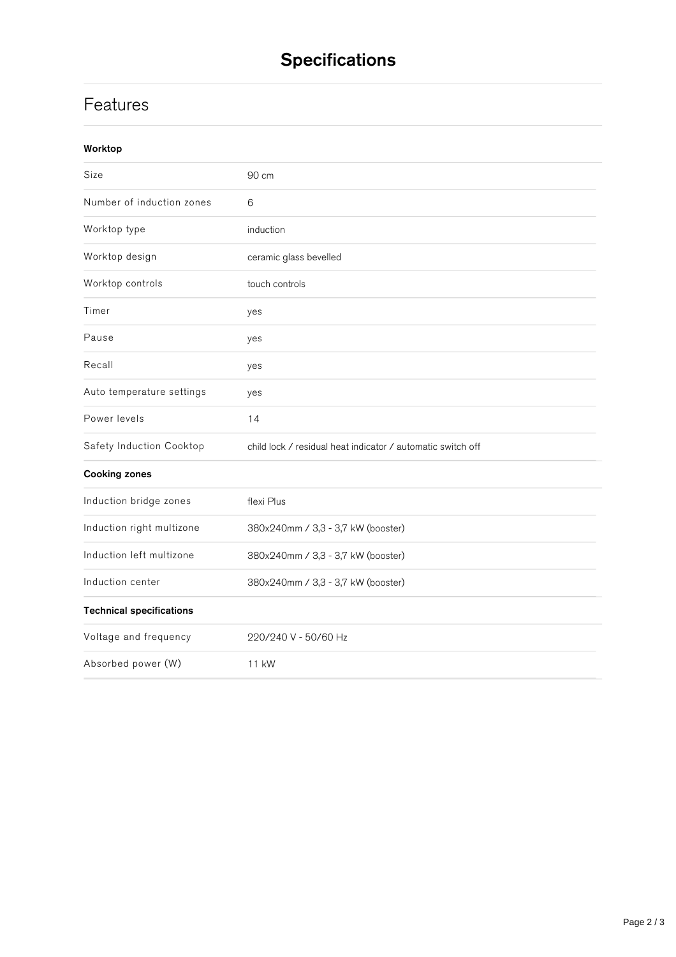# **Specifications**

## **Features**

| Worktop                         |                                                             |
|---------------------------------|-------------------------------------------------------------|
| Size                            | 90 cm                                                       |
| Number of induction zones       | $6\phantom{1}6$                                             |
| Worktop type                    | induction                                                   |
| Worktop design                  | ceramic glass bevelled                                      |
| Worktop controls                | touch controls                                              |
| Timer                           | yes                                                         |
| Pause                           | yes                                                         |
| Recall                          | yes                                                         |
| Auto temperature settings       | yes                                                         |
| Power levels                    | 14                                                          |
| Safety Induction Cooktop        | child lock / residual heat indicator / automatic switch off |
| <b>Cooking zones</b>            |                                                             |
| Induction bridge zones          | flexi Plus                                                  |
| Induction right multizone       | 380x240mm / 3,3 - 3,7 kW (booster)                          |
| Induction left multizone        | 380x240mm / 3,3 - 3,7 kW (booster)                          |
| Induction center                | 380x240mm / 3,3 - 3,7 kW (booster)                          |
| <b>Technical specifications</b> |                                                             |
| Voltage and frequency           | 220/240 V - 50/60 Hz                                        |
| Absorbed power (W)              | 11 kW                                                       |